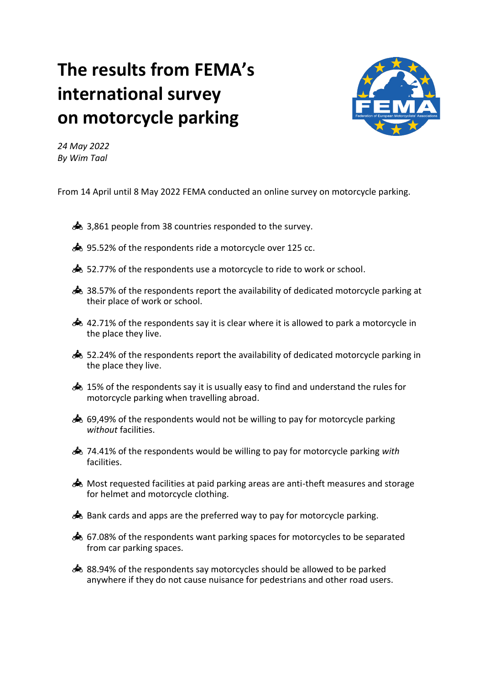## **The results from FEMA's international survey on motorcycle parking**



*24 May 2022 By Wim Taal*

From 14 April until 8 May 2022 FEMA conducted an online survey on motorcycle parking.

- $\triangle$  3,861 people from 38 countries responded to the survey.
- 95.52% of the respondents ride a motorcycle over 125 cc.
- 63.52.77% of the respondents use a motorcycle to ride to work or school.
- $\clubsuit$  38.57% of the respondents report the availability of dedicated motorcycle parking at their place of work or school.
- $\clubsuit$  42.71% of the respondents say it is clear where it is allowed to park a motorcycle in the place they live.
- $\clubsuit$  52.24% of the respondents report the availability of dedicated motorcycle parking in the place they live.
- $\clubsuit$  15% of the respondents say it is usually easy to find and understand the rules for motorcycle parking when travelling abroad.
- $\clubsuit$  69,49% of the respondents would not be willing to pay for motorcycle parking *without* facilities.
- 74.41% of the respondents would be willing to pay for motorcycle parking *with* facilities.
- Most requested facilities at paid parking areas are anti-theft measures and storage for helmet and motorcycle clothing.
- $\clubsuit$  Bank cards and apps are the preferred way to pay for motorcycle parking.
- 67.08% of the respondents want parking spaces for motorcycles to be separated from car parking spaces.
- 88.94% of the respondents say motorcycles should be allowed to be parked anywhere if they do not cause nuisance for pedestrians and other road users.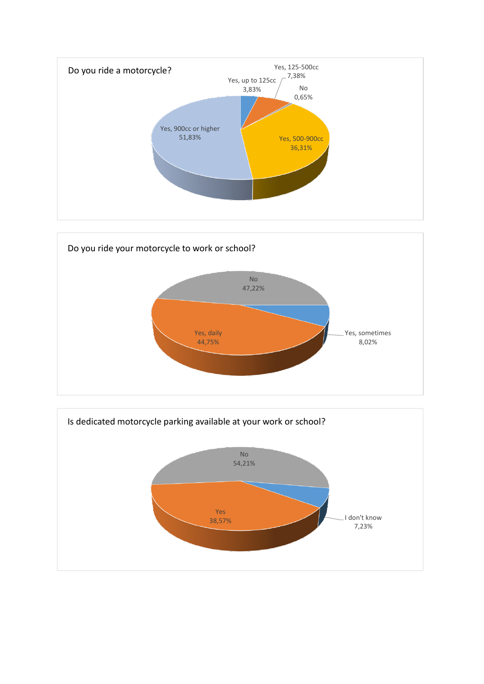



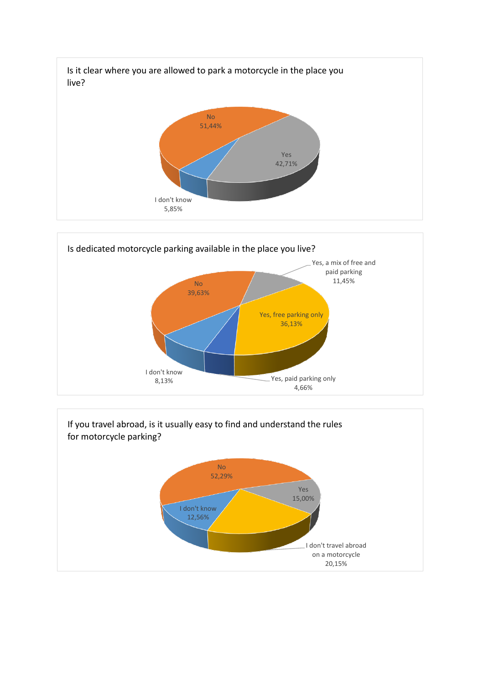



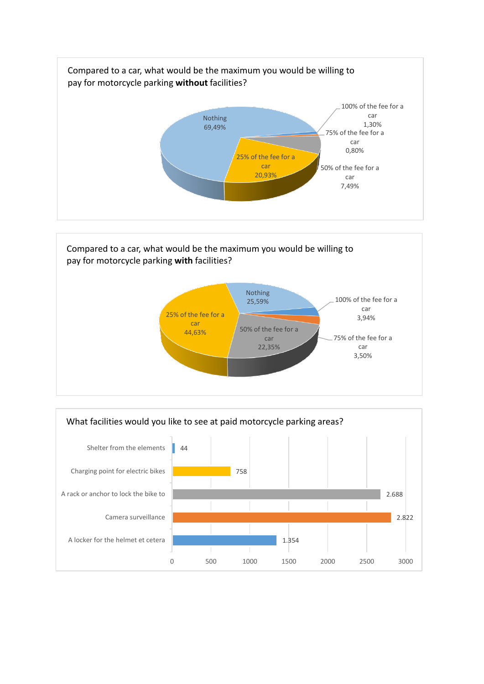



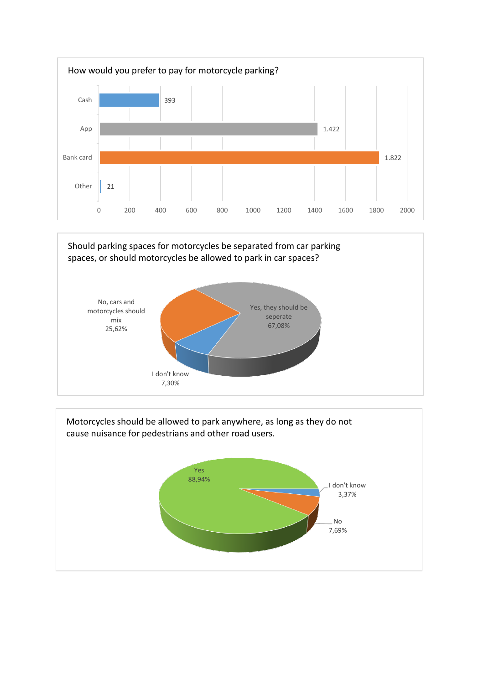